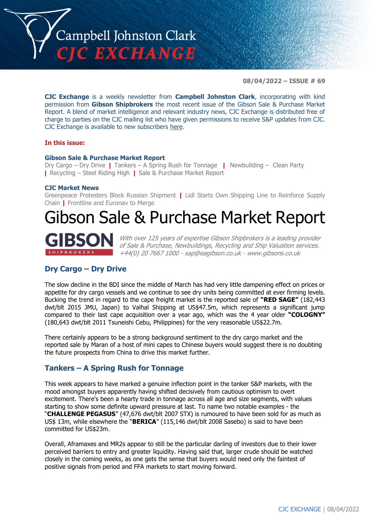

**08/04/2022 – ISSUE # 69**

**CJC Exchange** is a weekly newsletter from **Campbell Johnston Clark**, incorporating with kind permission from **Gibson Shipbrokers** the most recent issue of the Gibson Sale & Purchase Market Report. A blend of market intelligence and relevant industry news, CJC Exchange is distributed free of charge to parties on the CJC mailing list who have given permissions to receive S&P updates from CJC. CJC Exchange is available to new subscribers [here.](mailto:jamesc@cjclaw.com?subject=CJC%20Exchange%20sign-up)

#### **In this issue:**

#### **Gibson Sale & Purchase Market Report**

Dry Cargo – Dry Drive **|** Tankers – A Spring Rush for Tonnage **|** Newbuilding – Clean Party **|** Recycling – Steel Riding High **|** Sale & Purchase Market Report

#### **CJC Market News**

Greenpeace Protesters Block Russian Shipment **|** Lidl Starts Own Shipping Line to Reinforce Supply Chain **|** Frontline and Euronav to Merge

# Gibson Sale & Purchase Market Report



With over 125 years of expertise Gibson Shipbrokers is a leading provider of Sale & Purchase, Newbuildings, Recycling and Ship Valuation services. +44(0) 20 7667 1000 - [sap@eagibson.co.uk](mailto:sap@eagibson.co.uk) - [www.gibsons.co.uk](https://protect-eu.mimecast.com/s/VO6nCGZzRS60KqcK1jQh/)

#### **Dry Cargo – Dry Drive**

The slow decline in the BDI since the middle of March has had very little dampening effect on prices or appetite for dry cargo vessels and we continue to see dry units being committed at ever firming levels. Bucking the trend in regard to the cape freight market is the reported sale of **"RED SAGE"** (182,443 dwt/blt 2015 JMU, Japan) to Valhal Shipping at US\$47.5m, which represents a significant jump compared to their last cape acquisition over a year ago, which was the 4 year older **"COLOGNY"** (180,643 dwt/blt 2011 Tsuneishi Cebu, Philippines) for the very reasonable US\$22.7m.

There certainly appears to be a strong background sentiment to the dry cargo market and the reported sale by Maran of a host of mini capes to Chinese buyers would suggest there is no doubting the future prospects from China to drive this market further.

#### **Tankers – A Spring Rush for Tonnage**

This week appears to have marked a genuine inflection point in the tanker S&P markets, with the mood amongst buyers apparently having shifted decisively from cautious optimism to overt excitement. There's been a hearty trade in tonnage across all age and size segments, with values starting to show some definite upward pressure at last. To name two notable examples - the "**CHALLENGE PEGASUS**" (47,676 dwt/blt 2007 STX) is rumoured to have been sold for as much as US\$ 13m, while elsewhere the "**BERICA**" (115,146 dwt/blt 2008 Sasebo) is said to have been committed for US\$23m.

Overall, Aframaxes and MR2s appear to still be the particular darling of investors due to their lower perceived barriers to entry and greater liquidity. Having said that, larger crude should be watched closely in the coming weeks, as one gets the sense that buyers would need only the faintest of positive signals from period and FFA markets to start moving forward.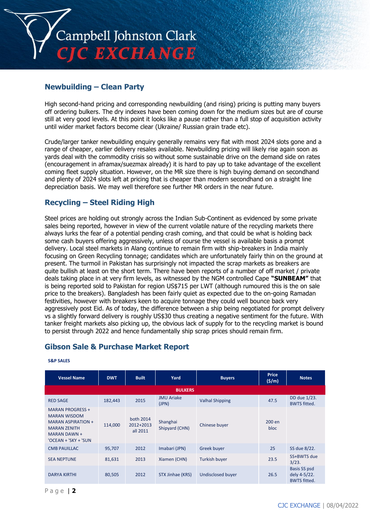

## **Newbuilding – Clean Party**

High second-hand pricing and corresponding newbuilding (and rising) pricing is putting many buyers off ordering bulkers. The dry indexes have been coming down for the medium sizes but are of course still at very good levels. At this point it looks like a pause rather than a full stop of acquisition activity until wider market factors become clear (Ukraine/ Russian grain trade etc).

Crude/larger tanker newbuilding enquiry generally remains very flat with most 2024 slots gone and a range of cheaper, earlier delivery resales available. Newbuilding pricing will likely rise again soon as yards deal with the commodity crisis so without some sustainable drive on the demand side on rates (encouragement in aframax/suezmax already) it is hard to pay up to take advantage of the excellent coming fleet supply situation. However, on the MR size there is high buying demand on secondhand and plenty of 2024 slots left at pricing that is cheaper than modern secondhand on a straight line depreciation basis. We may well therefore see further MR orders in the near future.

## **Recycling – Steel Riding High**

Steel prices are holding out strongly across the Indian Sub-Continent as evidenced by some private sales being reported, however in view of the current volatile nature of the recycling markets there always lurks the fear of a potential pending crash coming, and that could be what is holding back some cash buyers offering aggressively, unless of course the vessel is available basis a prompt delivery. Local steel markets in Alang continue to remain firm with ship-breakers in India mainly focusing on Green Recycling tonnage; candidates which are unfortunately fairly thin on the ground at present. The turmoil in Pakistan has surprisingly not impacted the scrap markets as breakers are quite bullish at least on the short term. There have been reports of a number of off market / private deals taking place in at very firm levels, as witnessed by the NGM controlled Cape **"SUNBEAM"** that is being reported sold to Pakistan for region US\$715 per LWT (although rumoured this is the on sale price to the breakers). Bangladesh has been fairly quiet as expected due to the on-going Ramadan festivities, however with breakers keen to acquire tonnage they could well bounce back very aggressively post Eid. As of today, the difference between a ship being negotiated for prompt delivery vs a slightly forward delivery is roughly US\$30 thus creating a negative sentiment for the future. With tanker freight markets also picking up, the obvious lack of supply for to the recycling market is bound to persist through 2022 and hence fundamentally ship scrap prices should remain firm.

#### **Gibson Sale & Purchase Market Report**

| <b>Vessel Name</b>                                                                                                                  | <b>DWT</b> | <b>Built</b>                       | Yard                       | <b>Buyers</b>            | <b>Price</b><br>(5/m) | <b>Notes</b>                                               |  |  |
|-------------------------------------------------------------------------------------------------------------------------------------|------------|------------------------------------|----------------------------|--------------------------|-----------------------|------------------------------------------------------------|--|--|
| <b>BULKERS</b>                                                                                                                      |            |                                    |                            |                          |                       |                                                            |  |  |
| <b>RED SAGE</b>                                                                                                                     | 182,443    | 2015                               | <b>JMU Ariake</b><br>(JPN) | <b>Valhal Shipping</b>   | 47.5                  | DD due 1/23.<br><b>BWTS</b> fitted.                        |  |  |
| <b>MARAN PROGRESS +</b><br><b>MARAN WISDOM</b><br>MARAN ASPIRATION +<br><b>MARAN ZENITH</b><br>MARAN DAWN +<br>'OCEAN + 'SKY + 'SUN | 114,000    | both 2014<br>2012+2013<br>all 2011 | Shanghai<br>Shipyard (CHN) | Chinese buyer            | 200 en<br>bloc        |                                                            |  |  |
| <b>CMB PAUILLAC</b>                                                                                                                 | 95,707     | 2012                               | Imabari (JPN)              | <b>Greek buyer</b>       | 25                    | SS due 8/22.                                               |  |  |
| <b>SEA NEPTUNE</b>                                                                                                                  | 81,631     | 2013                               | Xiamen (CHN)               | Turkish buyer            | 23.5                  | SS+BWTS due<br>3/23.                                       |  |  |
| <b>DARYA KIRTHI</b>                                                                                                                 | 80,505     | 2012                               | STX Jinhae (KRS)           | <b>Undisclosed buyer</b> | 26.5                  | <b>Basis SS psd</b><br>dely 4-5/22.<br><b>BWTS fitted.</b> |  |  |

#### **S&P SALES**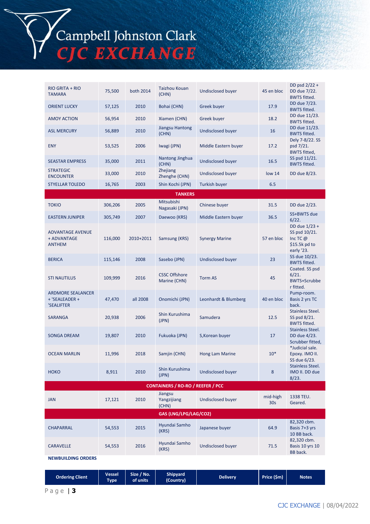Campbell Johnston Clark<br>CJC EXCHANGE

| <b>RIO GRITA + RIO</b><br><b>TAMARA</b>                  | 75,500  | both 2014 | <b>Taizhou Kouan</b><br>(CHN)        | Undisclosed buyer        | 45 en bloc                  | DD psd 2/22 +<br>DD due 7/22.<br><b>BWTS fitted.</b>                        |  |  |
|----------------------------------------------------------|---------|-----------|--------------------------------------|--------------------------|-----------------------------|-----------------------------------------------------------------------------|--|--|
| <b>ORIENT LUCKY</b>                                      | 57,125  | 2010      | Bohai (CHN)                          | Greek buyer              | 17.9                        | DD due 7/23.<br><b>BWTS fitted.</b>                                         |  |  |
| <b>AMOY ACTION</b>                                       | 56,954  | 2010      | Xiamen (CHN)                         | Greek buyer              | 18.2                        | DD due 11/23.<br><b>BWTS fitted.</b>                                        |  |  |
| <b>ASL MERCURY</b>                                       | 56,889  | 2010      | Jiangsu Hantong<br>(CHN)             | Undisclosed buyer        | 16                          | DD due 11/23.<br><b>BWTS fitted.</b>                                        |  |  |
| <b>ENY</b>                                               | 53,525  | 2006      | Iwagi (JPN)                          | Middle Eastern buyer     | 17.2                        | Dely 7-8/22. SS<br>psd 7/21.<br><b>BWTS fitted,</b>                         |  |  |
| <b>SEASTAR EMPRESS</b>                                   | 35,000  | 2011      | Nantong Jinghua<br>(CHN)             | <b>Undisclosed buyer</b> | 16.5                        | SS psd 11/21.<br><b>BWTS fitted.</b>                                        |  |  |
| <b>STRATEGIC</b><br><b>ENCOUNTER</b>                     | 33,000  | 2010      | Zhejiang<br>Zhenghe (CHN)            | <b>Undisclosed buyer</b> | low <sub>14</sub>           | DD due 8/23.                                                                |  |  |
| <b>STYELLAR TOLEDO</b>                                   | 16,765  | 2003      | Shin Kochi (JPN)                     | Turkish buyer            | 6.5                         |                                                                             |  |  |
|                                                          |         |           | <b>TANKERS</b>                       |                          |                             |                                                                             |  |  |
| <b>TOKIO</b>                                             | 306,206 | 2005      | Mitsubishi<br>Nagasaki (JPN)         | Chinese buyer            | 31.5                        | DD due 2/23.                                                                |  |  |
| <b>EASTERN JUNIPER</b>                                   | 305,749 | 2007      | Daewoo (KRS)                         | Middle Eastern buyer     | 36.5                        | SS+BWTS due<br>6/22.                                                        |  |  |
| <b>ADVANTAGE AVENUE</b><br>+ ADVANTAGE<br><b>ANTHEM</b>  | 116,000 | 2010+2011 | Samsung (KRS)                        | <b>Synergy Marine</b>    | 57 en bloc                  | DD due 1/23 +<br>SS psd 10/21.<br>Inc TC $@$<br>\$15.5k pd to<br>early '23. |  |  |
| <b>BERICA</b>                                            | 115,146 | 2008      | Sasebo (JPN)                         | <b>Undisclosed buyer</b> | 23                          | SS due 10/23.<br><b>BWTS fitted.</b>                                        |  |  |
| <b>STI NAUTILUS</b>                                      | 109,999 | 2016      | <b>CSSC Offshore</b><br>Marine (CHN) | <b>Torm AS</b>           | 45                          | Coated. SS psd<br>6/21.<br><b>BWTS+Scrubbe</b><br>r fitted.                 |  |  |
| <b>ARDMORE SEALANCER</b><br>+ 'SEALEADER +<br>'SEALIFTER | 47,470  | all 2008  | Onomichi (JPN)                       | Leonhardt & Blumberg     | 40 en bloc                  | Pump-room.<br>Basis 2 yrs TC<br>back.                                       |  |  |
| <b>SARANGA</b>                                           | 20,938  | 2006      | Shin Kurushima<br>(JPN)              | Samudera                 | 12.5                        | Stainless Steel.<br>SS psd 8/21.<br><b>BWTS fitted.</b>                     |  |  |
| <b>SONGA DREAM</b>                                       | 19,807  | 2010      | Fukuoka (JPN)                        | S, Korean buyer          | 17                          | Stainless Steel.<br>DD due 4/23.<br>Scrubber fitted,                        |  |  |
| <b>OCEAN MARLIN</b>                                      | 11,996  | 2018      | Samjin (CHN)                         | Hong Lam Marine          | $10*$                       | *Judicial sale.<br>Epoxy. IMO II.<br>SS due 6/23.                           |  |  |
| <b>HOKO</b>                                              | 8,911   | 2010      | Shin Kurushima<br>(JPN)              | <b>Undisclosed buyer</b> | 8                           | Stainless Steel.<br>IMO II. DD due<br>8/23.                                 |  |  |
| <b>CONTAINERS / RO-RO / REEFER / PCC</b>                 |         |           |                                      |                          |                             |                                                                             |  |  |
| <b>JAN</b>                                               | 17,121  | 2010      | Jiangsu<br>Yangzijiang<br>(CHN)      | <b>Undisclosed buyer</b> | mid-high<br>30 <sub>s</sub> | 1338 TEU.<br>Geared.                                                        |  |  |
| GAS (LNG/LPG/LAG/CO2)                                    |         |           |                                      |                          |                             |                                                                             |  |  |
| CHAPARRAL                                                | 54,553  | 2015      | Hyundai Samho<br>(KRS)               | Japanese buyer           | 64.9                        | 82,320 cbm.<br>Basis 7+3 yrs<br>10 BB back.                                 |  |  |
| <b>CARAVELLE</b>                                         | 54,553  | 2016      | Hyundai Samho<br>(KRS)               | <b>Undisclosed buyer</b> | 71.5                        | 82,320 cbm.<br>Basis 10 yrs 10<br>BB back.                                  |  |  |
| <b>NEWBUILDING ORDERS</b>                                |         |           |                                      |                          |                             |                                                                             |  |  |

**Ordering Client Vessel Type Size / No. of units Shipyard (Country) Delivery Price (\$m) Notes**

P a g e | **3**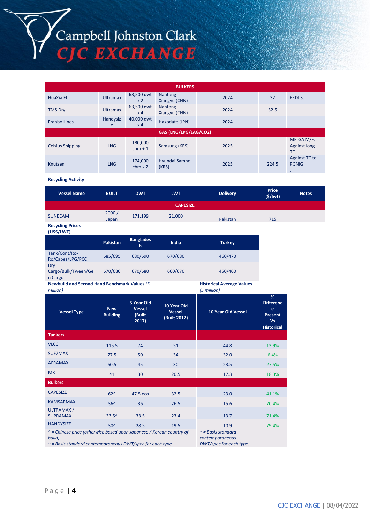# Campbell Johnston Clark<br>CJC EXCHANGE

**BULKERS** HuaXia FL Ultramax 63,500 dwt  $x$  2<br>63.500 dwt Nantong Nantong<br>Xiangyu (CHN) 2024 32 EEDI 3. TMS Dry Ultramax x 4 Nantong Nantong 2024 32.5 Franbo Lines Handysiz e 40,000 dwt  $\begin{array}{c|c}\n & \text{Hakodate (JPN)} \\
\times 4 & \end{array}$  2024 **GAS (LNG/LPG/LAG/CO2)** Celsius Shipping LNG 180,000 Samsung (KRS) 2025 ME-GA M/E. Against long TC. Knutsen LNG 174,000 cbm x 2 Hyundai Samho (KRS) <sup>2025</sup> 224.5 Against TC to PGNIG .

**Recycling Activity**

| <b>Vessel Name</b> | <b>BUILT</b>   | <b>DWT</b> | <b>LWT</b> | <b>Delivery</b> | <b>Price</b><br>$($ \$/lwt $)$ | <b>Notes</b> |  |
|--------------------|----------------|------------|------------|-----------------|--------------------------------|--------------|--|
| <b>CAPESIZE</b>    |                |            |            |                 |                                |              |  |
| <b>SUNBEAM</b>     | 2000/<br>Japan | 171,199    | 21,000     | Pakistan        | 715                            |              |  |

**Recycling Prices (US\$/LWT)**

|                                       | Pakistan | <b>Banglades</b><br>١h | India   | <b>Turkey</b> |
|---------------------------------------|----------|------------------------|---------|---------------|
| Tank/Cont/Ro-<br>Ro/Capes/LPG/PCC     | 685/695  | 680/690                | 670/680 | 460/470       |
| Dry<br>Cargo/Bulk/Tween/Ge<br>n Cargo | 670/680  | 670/680                | 660/670 | 450/460       |

**Newbuild and Second Hand Benchmark Values** *(\$ million)*

**Historical Average Values** *(\$ million)*

|                                                                                        |                               | , , , , , , , , , , , ,                        |                                              |                           |                                                                                |
|----------------------------------------------------------------------------------------|-------------------------------|------------------------------------------------|----------------------------------------------|---------------------------|--------------------------------------------------------------------------------|
| <b>Vessel Type</b>                                                                     | <b>New</b><br><b>Building</b> | 5 Year Old<br><b>Vessel</b><br>(Built<br>2017) | 10 Year Old<br><b>Vessel</b><br>(Built 2012) | <b>10 Year Old Vessel</b> | %<br><b>Differenc</b><br>e<br><b>Present</b><br><b>Vs</b><br><b>Historical</b> |
| <b>Tankers</b>                                                                         |                               |                                                |                                              |                           |                                                                                |
| <b>VLCC</b>                                                                            | 115.5                         | 74                                             | 51                                           | 44.8                      | 13.9%                                                                          |
| <b>SUEZMAX</b>                                                                         | 77.5                          | 50                                             | 34                                           | 32.0                      | 6.4%                                                                           |
| <b>AFRAMAX</b>                                                                         | 60.5                          | 45                                             | 30                                           | 23.5                      | 27.5%                                                                          |
| <b>MR</b>                                                                              | 41                            | 30                                             | 20.5                                         | 17.3                      | 18.3%                                                                          |
| <b>Bulkers</b>                                                                         |                               |                                                |                                              |                           |                                                                                |
| <b>CAPESIZE</b>                                                                        | $62^$                         | 47.5 eco                                       | 32.5                                         | 23.0                      | 41.1%                                                                          |
| <b>KAMSARMAX</b>                                                                       | $36^$                         | 36                                             | 26.5                                         | 15.6                      | 70.4%                                                                          |
| ULTRAMAX /<br><b>SUPRAMAX</b>                                                          | $33.5^$                       | 33.5                                           | 23.4                                         | 13.7                      | 71.4%                                                                          |
| <b>HANDYSIZE</b>                                                                       | $30^$                         | 28.5                                           | 19.5                                         | 10.9                      | 79.4%                                                                          |
| $\lambda$ = Chinese price (otherwise based upon Japanese / Korean country of<br>build) |                               | $\approx$ = Basis standard<br>contemporaneous  |                                              |                           |                                                                                |

*~ = Basis standard contemporaneous DWT/spec for each type.* 

*DWT/spec for each type.*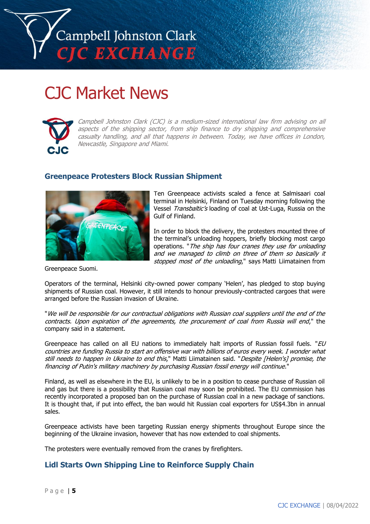

# CJC Market News



Campbell Johnston Clark (CJC) is a medium-sized international law firm advising on all aspects of the shipping sector, from ship finance to dry shipping and comprehensive casualty handling, and all that happens in between. Today, we have offices in London, Newcastle, Singapore and Miami.

## **Greenpeace Protesters Block Russian Shipment**



Ten Greenpeace activists scaled a fence at Salmisaari coal terminal in Helsinki, Finland on Tuesday morning following the Vessel Transbaltic's loading of coal at Ust-Luga, Russia on the Gulf of Finland.

In order to block the delivery, the protesters mounted three of the terminal's unloading hoppers, briefly blocking most cargo operations. "The ship has four cranes they use for unloading and we managed to climb on three of them so basically it stopped most of the unloading," says Matti [Liimatainen](https://twitter.com/MLiimatainen) from

Greenpeace Suomi.

Operators of the terminal, Helsinki city-owned power company 'Helen', has pledged to stop buying shipments of Russian coal. However, it still intends to honour previously-contracted cargoes that were arranged before the Russian invasion of Ukraine.

"We will be responsible for our contractual obligations with Russian coal suppliers until the end of the contracts. Upon expiration of the agreements, the procurement of coal from Russia will end," the company said in a statement.

Greenpeace has called on all EU nations to immediately halt imports of Russian fossil fuels. " $EU$ countries are funding Russia to start an offensive war with billions of euros every week. I wonder what still needs to happen in Ukraine to end this," Matti Liimatainen said. "Despite [Helen's] promise, the financing of Putin's military machinery by purchasing Russian fossil energy will continue."

Finland, as well as elsewhere in the EU, is unlikely to be in a position to cease purchase of Russian oil and gas but there is a possibility that Russian coal may soon be prohibited. The EU commission has recently incorporated a proposed ban on the purchase of Russian coal in a new package of sanctions. It is thought that, if put into effect, the ban would hit Russian coal exporters for US\$4.3bn in annual sales.

Greenpeace activists have been targeting Russian energy shipments throughout Europe since the beginning of the Ukraine invasion, however that has now extended to coal shipments.

The protesters were eventually removed from the cranes by firefighters.

# **Lidl Starts Own Shipping Line to Reinforce Supply Chain**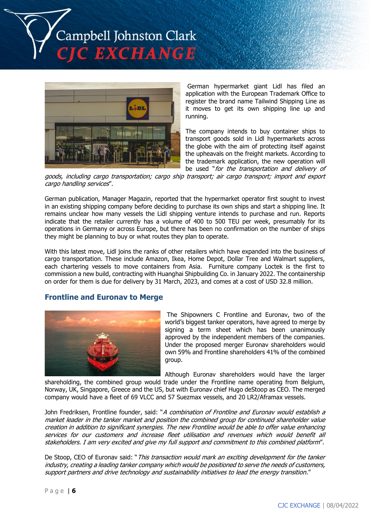



German hypermarket giant Lidl has filed an application with the European Trademark Office to register the brand name Tailwind Shipping Line as it moves to get its own shipping line up and running.

The company intends to buy container ships to transport goods sold in Lidl hypermarkets across the globe with the aim of protecting itself against the upheavals on the freight markets. According to the trademark application, the new operation will be used "for the transportation and delivery of

goods, including cargo transportation; cargo ship transport; air cargo transport; import and export cargo handling services".

German publication, Manager Magazin, reported that the hypermarket operator first sought to invest in an existing shipping company before deciding to purchase its own ships and start a shipping line. It remains unclear how many vessels the Lidl shipping venture intends to purchase and run. Reports indicate that the retailer currently has a volume of 400 to 500 TEU per week, presumably for its operations in Germany or across Europe, but there has been no confirmation on the number of ships they might be planning to buy or what routes they plan to operate.

With this latest move, Lidl joins the ranks of other retailers which have expanded into the business of cargo transportation. These include Amazon, Ikea, Home Depot, Dollar Tree and Walmart suppliers, each chartering vessels to move containers from Asia. Furniture company Loctek is the first to commission a new build, contracting with Huanghai Shipbuilding Co. in January 2022. The containership on order for them is due for delivery by 31 March, 2023, and comes at a cost of USD 32.8 million.

#### **Frontline and Euronav to Merge**



The Shipowners C Frontline and Euronav, two of the world's biggest tanker operators, have agreed to merge by signing a term sheet which has been unanimously approved by the independent members of the companies. Under the proposed merger Euronav shareholders would own 59% and Frontline shareholders 41% of the combined group.

Although Euronav shareholders would have the larger shareholding, the combined group would trade under the Frontline name operating from Belgium,

Norway, UK, Singapore, Greece and the US, but with Euronav chief Hugo deStoop as CEO. The merged company would have a fleet of 69 VLCC and 57 Suezmax vessels, and 20 LR2/Aframax vessels.

John Fredriksen, Frontline founder, said: "A combination of Frontline and Euronay would establish a market leader in the tanker market and position the combined group for continued shareholder value creation in addition to significant synergies. The new Frontline would be able to offer value enhancing services for our customers and increase fleet utilisation and revenues which would benefit all stakeholders. I am very excited and give my full support and commitment to this combined platform".

De Stoop, CEO of Euronav said: "This transaction would mark an exciting development for the tanker industry, creating a leading tanker company which would be positioned to serve the needs of customers, support partners and drive technology and sustainability initiatives to lead the energy transition."